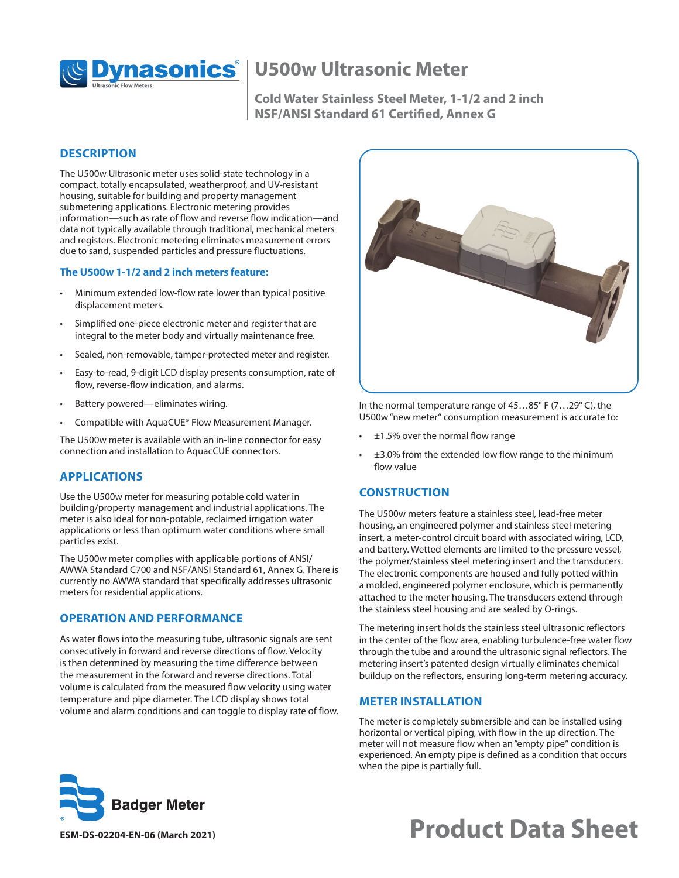

# **Dynasonics**<sup>*(ID500w Ultrasonic Meter)*</sup>

**Cold Water Stainless Steel Meter, 1-1/2 and 2 inch NSF/ANSI Standard 61 Certified, Annex G**

#### **DESCRIPTION**

The U500w Ultrasonic meter uses solid-state technology in a compact, totally encapsulated, weatherproof, and UV-resistant housing, suitable for building and property management submetering applications. Electronic metering provides information—such as rate of flow and reverse flow indication—and data not typically available through traditional, mechanical meters and registers. Electronic metering eliminates measurement errors due to sand, suspended particles and pressure fluctuations.

#### **The U500w 1-1/2 and 2 inch meters feature:**

- Minimum extended low-flow rate lower than typical positive displacement meters.
- Simplified one-piece electronic meter and register that are integral to the meter body and virtually maintenance free.
- Sealed, non-removable, tamper-protected meter and register.
- Easy-to-read, 9-digit LCD display presents consumption, rate of flow, reverse-flow indication, and alarms.
- Battery powered—eliminates wiring.
- Compatible with AquaCUE® Flow Measurement Manager.

The U500w meter is available with an in-line connector for easy connection and installation to AquacCUE connectors.

# **APPLICATIONS**

Use the U500w meter for measuring potable cold water in building/property management and industrial applications. The meter is also ideal for non-potable, reclaimed irrigation water applications or less than optimum water conditions where small particles exist.

The U500w meter complies with applicable portions of ANSI/ AWWA Standard C700 and NSF/ANSI Standard 61, Annex G. There is currently no AWWA standard that specifically addresses ultrasonic meters for residential applications.

# **OPERATION AND PERFORMANCE**

As water flows into the measuring tube, ultrasonic signals are sent consecutively in forward and reverse directions of flow. Velocity is then determined by measuring the time difference between the measurement in the forward and reverse directions. Total volume is calculated from the measured flow velocity using water temperature and pipe diameter. The LCD display shows total volume and alarm conditions and can toggle to display rate of flow.



In the normal temperature range of 45…85° F (7…29° C), the U500w "new meter" consumption measurement is accurate to:

- $±1.5%$  over the normal flow range
- ±3.0% from the extended low flow range to the minimum flow value

# **CONSTRUCTION**

The U500w meters feature a stainless steel, lead-free meter housing, an engineered polymer and stainless steel metering insert, a meter-control circuit board with associated wiring, LCD, and battery. Wetted elements are limited to the pressure vessel, the polymer/stainless steel metering insert and the transducers. The electronic components are housed and fully potted within a molded, engineered polymer enclosure, which is permanently attached to the meter housing. The transducers extend through the stainless steel housing and are sealed by O-rings.

The metering insert holds the stainless steel ultrasonic reflectors in the center of the flow area, enabling turbulence-free water flow through the tube and around the ultrasonic signal reflectors. The metering insert's patented design virtually eliminates chemical buildup on the reflectors, ensuring long-term metering accuracy.

#### **METER INSTALLATION**

The meter is completely submersible and can be installed using horizontal or vertical piping, with flow in the up direction. The meter will not measure flow when an "empty pipe" condition is experienced. An empty pipe is defined as a condition that occurs when the pipe is partially full.



# **ESM-DS-02204-EN-06 (March 2021) Product Data Sheet**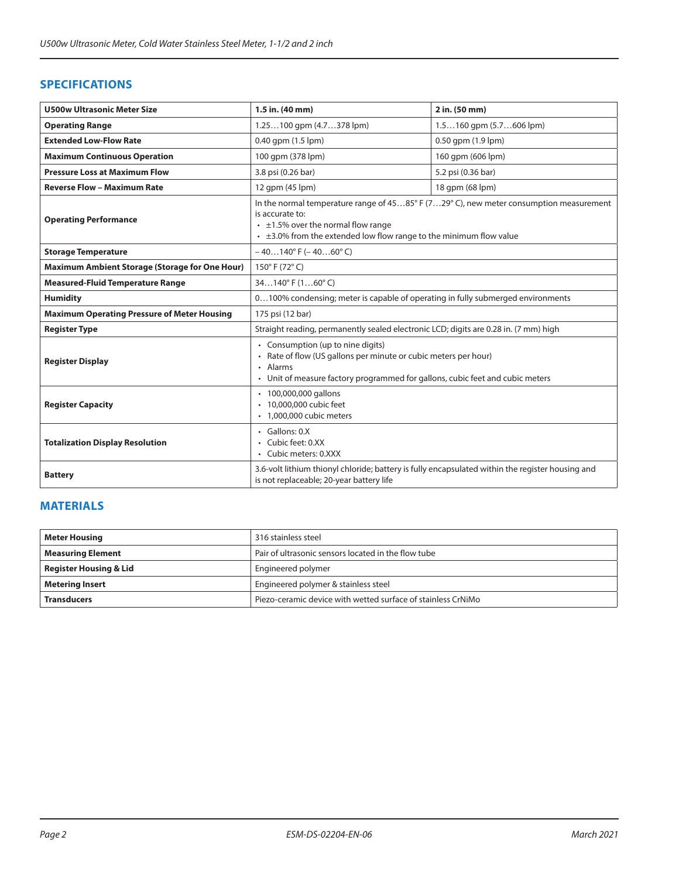# **SPECIFICATIONS**

| <b>U500w Ultrasonic Meter Size</b>                 | 1.5 in. (40 mm)                                                                                                                                                                                                                                 | 2 in. (50 mm)               |  |  |  |  |  |  |  |
|----------------------------------------------------|-------------------------------------------------------------------------------------------------------------------------------------------------------------------------------------------------------------------------------------------------|-----------------------------|--|--|--|--|--|--|--|
| <b>Operating Range</b>                             | $1.25100$ gpm $(4.7378$ lpm)                                                                                                                                                                                                                    | $1.5160$ qpm $(5.7606$ lpm) |  |  |  |  |  |  |  |
| <b>Extended Low-Flow Rate</b>                      | 0.50 gpm (1.9 lpm)<br>0.40 qpm (1.5 lpm)                                                                                                                                                                                                        |                             |  |  |  |  |  |  |  |
| <b>Maximum Continuous Operation</b>                | 100 qpm (378 lpm)<br>160 qpm (606 lpm)                                                                                                                                                                                                          |                             |  |  |  |  |  |  |  |
| <b>Pressure Loss at Maximum Flow</b>               | 5.2 psi (0.36 bar)<br>3.8 psi (0.26 bar)                                                                                                                                                                                                        |                             |  |  |  |  |  |  |  |
| <b>Reverse Flow - Maximum Rate</b>                 | 12 qpm (45 lpm)                                                                                                                                                                                                                                 | 18 qpm (68 lpm)             |  |  |  |  |  |  |  |
| <b>Operating Performance</b>                       | In the normal temperature range of $4585^{\circ}$ F (729° C), new meter consumption measurement<br>is accurate to:<br>$\cdot$ ±1.5% over the normal flow range<br>$\cdot$ $\pm$ 3.0% from the extended low flow range to the minimum flow value |                             |  |  |  |  |  |  |  |
| <b>Storage Temperature</b>                         | $-40140^{\circ}$ F ( $-4060^{\circ}$ C)                                                                                                                                                                                                         |                             |  |  |  |  |  |  |  |
| Maximum Ambient Storage (Storage for One Hour)     | 150°F (72°C)                                                                                                                                                                                                                                    |                             |  |  |  |  |  |  |  |
| <b>Measured-Fluid Temperature Range</b>            | $34140^{\circ}$ F $(160^{\circ}$ C)                                                                                                                                                                                                             |                             |  |  |  |  |  |  |  |
| <b>Humidity</b>                                    | 0100% condensing; meter is capable of operating in fully submerged environments                                                                                                                                                                 |                             |  |  |  |  |  |  |  |
| <b>Maximum Operating Pressure of Meter Housing</b> | 175 psi (12 bar)                                                                                                                                                                                                                                |                             |  |  |  |  |  |  |  |
| <b>Register Type</b>                               | Straight reading, permanently sealed electronic LCD; digits are 0.28 in. (7 mm) high                                                                                                                                                            |                             |  |  |  |  |  |  |  |
| <b>Register Display</b>                            | • Consumption (up to nine digits)<br>Rate of flow (US gallons per minute or cubic meters per hour)<br>Alarms<br>• Unit of measure factory programmed for gallons, cubic feet and cubic meters                                                   |                             |  |  |  |  |  |  |  |
| <b>Register Capacity</b>                           | • 100,000,000 gallons<br>10,000,000 cubic feet<br>· 1,000,000 cubic meters                                                                                                                                                                      |                             |  |  |  |  |  |  |  |
| <b>Totalization Display Resolution</b>             | $\cdot$ Gallons: 0.X<br>Cubic feet: 0.XX<br>• Cubic meters: 0.XXX                                                                                                                                                                               |                             |  |  |  |  |  |  |  |
| <b>Battery</b>                                     | 3.6-volt lithium thionyl chloride; battery is fully encapsulated within the register housing and<br>is not replaceable; 20-year battery life                                                                                                    |                             |  |  |  |  |  |  |  |

# **MATERIALS**

| <b>Meter Housing</b>              | 316 stainless steel                                          |  |  |  |  |  |
|-----------------------------------|--------------------------------------------------------------|--|--|--|--|--|
| <b>Measuring Element</b>          | Pair of ultrasonic sensors located in the flow tube          |  |  |  |  |  |
| <b>Register Housing &amp; Lid</b> | Engineered polymer                                           |  |  |  |  |  |
| <b>Metering Insert</b>            | Engineered polymer & stainless steel                         |  |  |  |  |  |
| <b>Transducers</b>                | Piezo-ceramic device with wetted surface of stainless CrNiMo |  |  |  |  |  |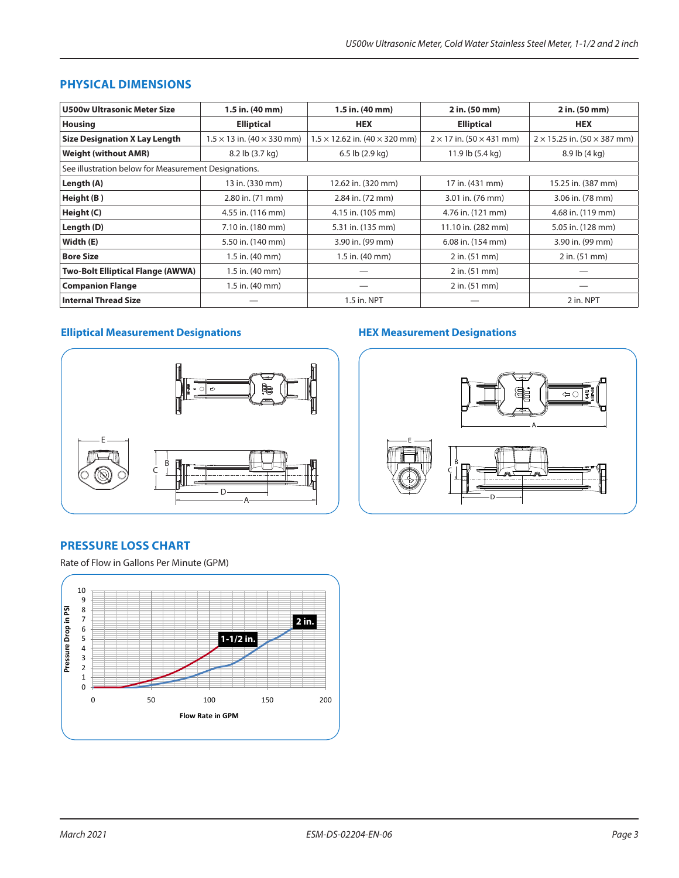## **PHYSICAL DIMENSIONS**

| <b>U500w Ultrasonic Meter Size</b>                   | 1.5 in. (40 mm)                          | 1.5 in. (40 mm)                             | 2 in. (50 mm)                          | 2 in. (50 mm)                             |  |  |  |  |  |
|------------------------------------------------------|------------------------------------------|---------------------------------------------|----------------------------------------|-------------------------------------------|--|--|--|--|--|
| <b>Housing</b>                                       | <b>Elliptical</b>                        | <b>HEX</b><br><b>Elliptical</b>             |                                        | <b>HEX</b>                                |  |  |  |  |  |
| <b>Size Designation X Lay Length</b>                 | $1.5 \times 13$ in. (40 $\times$ 330 mm) | $1.5 \times 12.62$ in. (40 $\times$ 320 mm) | $2 \times 17$ in. (50 $\times$ 431 mm) | $2 \times 15.25$ in. (50 $\times$ 387 mm) |  |  |  |  |  |
| <b>Weight (without AMR)</b>                          | 8.2 lb (3.7 kg)                          | $6.5$ lb $(2.9$ kg)                         | 11.9 lb (5.4 kg)                       | 8.9 lb (4 kg)                             |  |  |  |  |  |
| See illustration below for Measurement Designations. |                                          |                                             |                                        |                                           |  |  |  |  |  |
| Length (A)                                           | 13 in. (330 mm)                          | 12.62 in. (320 mm)                          | 17 in. (431 mm)                        | 15.25 in. (387 mm)                        |  |  |  |  |  |
| Height (B)                                           | 2.80 in. (71 mm)                         | 2.84 in. (72 mm)                            | 3.01 in. (76 mm)                       | 3.06 in. (78 mm)                          |  |  |  |  |  |
| Height (C)                                           | 4.55 in. (116 mm)                        | 4.15 in. (105 mm)                           | 4.76 in. (121 mm)                      | 4.68 in. (119 mm)                         |  |  |  |  |  |
| Length (D)                                           | 7.10 in. (180 mm)                        | 5.31 in. (135 mm)                           | 11.10 in. (282 mm)                     | 5.05 in. (128 mm)                         |  |  |  |  |  |
| Width (E)                                            | 5.50 in. (140 mm)                        | 3.90 in. (99 mm)                            | 6.08 in. (154 mm)                      | 3.90 in. (99 mm)                          |  |  |  |  |  |
| <b>Bore Size</b>                                     | 1.5 in. (40 mm)                          | 1.5 in. (40 mm)                             | 2 in. (51 mm)                          | 2 in. (51 mm)                             |  |  |  |  |  |
| <b>Two-Bolt Elliptical Flange (AWWA)</b>             | 1.5 in. (40 mm)                          |                                             | 2 in. (51 mm)                          |                                           |  |  |  |  |  |
| <b>Companion Flange</b>                              | 1.5 in. (40 mm)                          |                                             | $2$ in. $(51$ mm $)$                   |                                           |  |  |  |  |  |
| <b>Internal Thread Size</b>                          |                                          | 1.5 in. NPT                                 |                                        | 2 in. NPT                                 |  |  |  |  |  |

# **Elliptical Measurement Designations**



# **HEX Measurement Designations**



# **PRESSURE LOSS CHART**

Rate of Flow in Gallons Per Minute (GPM)